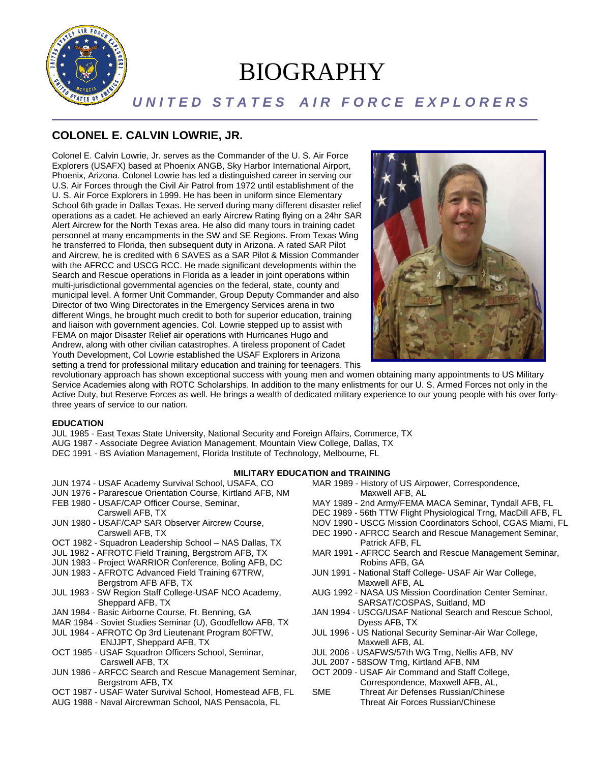

# BIOGRAPHY

# U N I T E D S T A T E S A I R F O R C E E X P L O R E R S

## **COLONEL E. CALVIN LOWRIE, JR.**

Colonel E. Calvin Lowrie, Jr. serves as the Commander of the U. S. Air Force Explorers (USAFX) based at Phoenix ANGB, Sky Harbor International Airport, Phoenix, Arizona. Colonel Lowrie has led a distinguished career in serving our U.S. Air Forces through the Civil Air Patrol from 1972 until establishment of the U. S. Air Force Explorers in 1999. He has been in uniform since Elementary School 6th grade in Dallas Texas. He served during many different disaster relief operations as a cadet. He achieved an early Aircrew Rating flying on a 24hr SAR Alert Aircrew for the North Texas area. He also did many tours in training cadet personnel at many encampments in the SW and SE Regions. From Texas Wing he transferred to Florida, then subsequent duty in Arizona. A rated SAR Pilot and Aircrew, he is credited with 6 SAVES as a SAR Pilot & Mission Commander with the AFRCC and USCG RCC. He made significant developments within the Search and Rescue operations in Florida as a leader in joint operations within multi-jurisdictional governmental agencies on the federal, state, county and municipal level. A former Unit Commander, Group Deputy Commander and also Director of two Wing Directorates in the Emergency Services arena in two different Wings, he brought much credit to both for superior education, training and liaison with government agencies. Col. Lowrie stepped up to assist with FEMA on major Disaster Relief air operations with Hurricanes Hugo and Andrew, along with other civilian catastrophes. A tireless proponent of Cadet Youth Development, Col Lowrie established the USAF Explorers in Arizona setting a trend for professional military education and training for teenagers. This



revolutionary approach has shown exceptional success with young men and women obtaining many appointments to US Military Service Academies along with ROTC Scholarships. In addition to the many enlistments for our U. S. Armed Forces not only in the Active Duty, but Reserve Forces as well. He brings a wealth of dedicated military experience to our young people with his over fortythree years of service to our nation.

### **EDUCATION**

- JUL 1985 East Texas State University, National Security and Foreign Affairs, Commerce, TX AUG 1987 - Associate Degree Aviation Management, Mountain View College, Dallas, TX
- DEC 1991 BS Aviation Management, Florida Institute of Technology, Melbourne, FL

#### **MILITARY EDUCATION and TRAINING**

- JUN 1974 USAF Academy Survival School, USAFA, CO
- JUN 1976 Pararescue Orientation Course, Kirtland AFB, NM
- FEB 1980 USAF/CAP Officer Course, Seminar,
- Carswell AFB, TX
- JUN 1980 USAF/CAP SAR Observer Aircrew Course, Carswell AFB, TX
- OCT 1982 Squadron Leadership School NAS Dallas, TX
- JUL 1982 AFROTC Field Training, Bergstrom AFB, TX
- JUN 1983 Project WARRIOR Conference, Boling AFB, DC
- JUN 1983 AFROTC Advanced Field Training 67TRW, Bergstrom AFB AFB, TX
- JUL 1983 SW Region Staff College-USAF NCO Academy, Sheppard AFB, TX
- JAN 1984 Basic Airborne Course, Ft. Benning, GA
- MAR 1984 Soviet Studies Seminar (U), Goodfellow AFB, TX
- JUL 1984 AFROTC Op 3rd Lieutenant Program 80FTW, ENJJPT, Sheppard AFB, TX
- OCT 1985 USAF Squadron Officers School, Seminar, Carswell AFB, TX
- JUN 1986 ARFCC Search and Rescue Management Seminar, OCT 2009 USAF Air Command and Staff College, Bergstrom AFB, TX
- OCT 1987 USAF Water Survival School, Homestead AFB, FL
- AUG 1988 Naval Aircrewman School, NAS Pensacola, FL
- MAR 1989 History of US Airpower, Correspondence,
	- Maxwell AFB, AL
- MAY 1989 2nd Army/FEMA MACA Seminar, Tyndall AFB, FL
- DEC 1989 56th TTW Flight Physiological Trng, MacDill AFB, FL
- NOV 1990 USCG Mission Coordinators School, CGAS Miami, FL
- DEC 1990 AFRCC Search and Rescue Management Seminar, Patrick AFB, FL
- MAR 1991 AFRCC Search and Rescue Management Seminar, Robins AFB, GA
- JUN 1991 National Staff College- USAF Air War College, Maxwell AFB, AL
- AUG 1992 NASA US Mission Coordination Center Seminar, SARSAT/COSPAS, Suitland, MD
- JAN 1994 USCG/USAF National Search and Rescue School, Dyess AFB, TX
- JUL 1996 US National Security Seminar-Air War College, Maxwell AFB, AL
- JUL 2006 USAFWS/57th WG Trng, Nellis AFB, NV
- JUL 2007 58SOW Trng, Kirtland AFB, NM
- Correspondence, Maxwell AFB, AL,
- SME Threat Air Defenses Russian/Chinese Threat Air Forces Russian/Chinese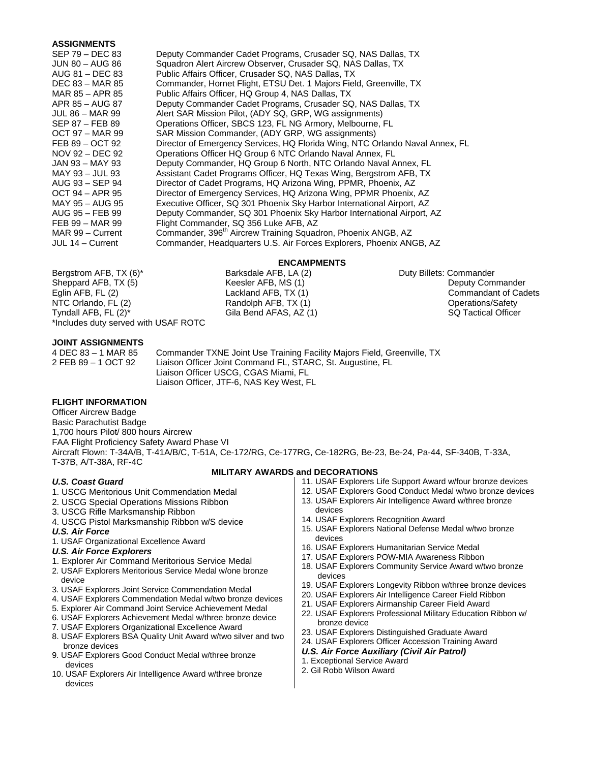#### **ASSIGNMENTS**

| SEP 79 – DEC 83  | Deputy Commander Cadet Programs, Crusader SQ, NAS Dallas, TX                 |
|------------------|------------------------------------------------------------------------------|
| JUN 80 – AUG 86  | Squadron Alert Aircrew Observer, Crusader SQ, NAS Dallas, TX                 |
| AUG 81 – DEC 83  | Public Affairs Officer, Crusader SQ, NAS Dallas, TX                          |
| DEC 83 – MAR 85  | Commander, Hornet Flight, ETSU Det. 1 Majors Field, Greenville, TX           |
| MAR 85 – APR 85  | Public Affairs Officer, HQ Group 4, NAS Dallas, TX                           |
| APR 85 – AUG 87  | Deputy Commander Cadet Programs, Crusader SQ, NAS Dallas, TX                 |
| JUL 86 – MAR 99  | Alert SAR Mission Pilot, (ADY SQ, GRP, WG assignments)                       |
| SEP 87 – FEB 89  | Operations Officer, SBCS 123, FL NG Armory, Melbourne, FL                    |
| OCT 97 – MAR 99  | SAR Mission Commander, (ADY GRP, WG assignments)                             |
| FEB 89 – OCT 92  | Director of Emergency Services, HQ Florida Wing, NTC Orlando Naval Annex, FL |
| NOV 92 – DEC 92  | Operations Officer HQ Group 6 NTC Orlando Naval Annex, FL                    |
| JAN 93 – MAY 93  | Deputy Commander, HQ Group 6 North, NTC Orlando Naval Annex, FL              |
| MAY 93 – JUL 93  | Assistant Cadet Programs Officer, HQ Texas Wing, Bergstrom AFB, TX           |
| AUG 93 – SEP 94  | Director of Cadet Programs, HQ Arizona Wing, PPMR, Phoenix, AZ               |
| OCT 94 – APR 95  | Director of Emergency Services, HQ Arizona Wing, PPMR Phoenix, AZ            |
| MAY 95 – AUG 95  | Executive Officer, SQ 301 Phoenix Sky Harbor International Airport, AZ       |
| AUG 95 – FEB 99  | Deputy Commander, SQ 301 Phoenix Sky Harbor International Airport, AZ        |
| FEB 99 – MAR 99  | Flight Commander, SQ 356 Luke AFB, AZ                                        |
| MAR 99 - Current | Commander, 396 <sup>th</sup> Aircrew Training Squadron, Phoenix ANGB, AZ     |
| JUL 14 – Current | Commander, Headquarters U.S. Air Forces Explorers, Phoenix ANGB, AZ          |
|                  |                                                                              |

Bergstrom AFB, TX (6)\* Barksdale AFB, LA (2) Duty Billets: Commander Sheppard AFB, TX (5) **Keesler AFB, MS (1)** Commander Beesler AFB, MS (1) **Deputy Commander** Eglin AFB, FL (2) **Lackland AFB, TX (1)** Commandant of Cadets NTC Orlando, FL (2) Randolph AFB, TX (1) Operations/Safety<br>Tyndall AFB, FL (2)\* Gila Bend AFAS, AZ (1) SQ Tactical Officer Tyndall AFB, FL  $(2)^*$  Gila Bend AFAS, AZ  $(1)$ \*Includes duty served with USAF ROTC

**ENCAMPMENTS**<br>Barksdale AFB, LA (2)

#### **JOINT ASSIGNMENTS**

4 DEC 83 – 1 MAR 85 Commander TXNE Joint Use Training Facility Majors Field, Greenville, TX 2 FEB 89 – 1 OCT 92 Liaison Officer Joint Command FL, STARC, St. Augustine, FL Liaison Officer USCG, CGAS Miami, FL Liaison Officer, JTF-6, NAS Key West, FL

#### **FLIGHT INFORMATION**

Officer Aircrew Badge Basic Parachutist Badge 1,700 hours Pilot/ 800 hours Aircrew FAA Flight Proficiency Safety Award Phase VI Aircraft Flown: T-34A/B, T-41A/B/C, T-51A, Ce-172/RG, Ce-177RG, Ce-182RG, Be-23, Be-24, Pa-44, SF-340B, T-33A, T-37B, A/T-38A, RF-4C **MILITARY AWARDS and DECORATIONS** 

#### *U.S. Coast Guard*

- 1. USCG Meritorious Unit Commendation Medal
- 2. USCG Special Operations Missions Ribbon
- 3. USCG Rifle Marksmanship Ribbon
- 4. USCG Pistol Marksmanship Ribbon w/S device

#### *U.S. Air Force*

1. USAF Organizational Excellence Award

#### *U.S. Air Force Explorers*

- 1. Explorer Air Command Meritorious Service Medal
- 2. USAF Explorers Meritorious Service Medal w/one bronze device
- 3. USAF Explorers Joint Service Commendation Medal
- 4. USAF Explorers Commendation Medal w/two bronze devices
- 5. Explorer Air Command Joint Service Achievement Medal
- 6. USAF Explorers Achievement Medal w/three bronze device
- 7. USAF Explorers Organizational Excellence Award
- 8. USAF Explorers BSA Quality Unit Award w/two silver and two bronze devices
- 9. USAF Explorers Good Conduct Medal w/three bronze devices
- 10. USAF Explorers Air Intelligence Award w/three bronze devices
- 11. USAF Explorers Life Support Award w/four bronze devices
- 12. USAF Explorers Good Conduct Medal w/two bronze devices
- 13. USAF Explorers Air Intelligence Award w/three bronze
- devices
- 14. USAF Explorers Recognition Award
- 15. USAF Explorers National Defense Medal w/two bronze devices
- 16. USAF Explorers Humanitarian Service Medal
- 17. USAF Explorers POW-MIA Awareness Ribbon
- 18. USAF Explorers Community Service Award w/two bronze devices
- 19. USAF Explorers Longevity Ribbon w/three bronze devices
- 20. USAF Explorers Air Intelligence Career Field Ribbon
- 21. USAF Explorers Airmanship Career Field Award
- 22. USAF Explorers Professional Military Education Ribbon w/ bronze device
- 23. USAF Explorers Distinguished Graduate Award
- 24. USAF Explorers Officer Accession Training Award
- *U.S. Air Force Auxiliary (Civil Air Patrol)*
- 1. Exceptional Service Award
- 2. Gil Robb Wilson Award